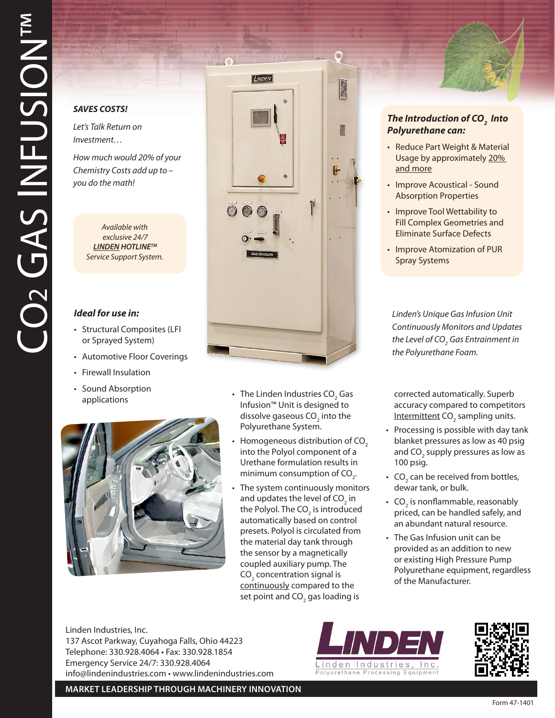## *SAVES COSTS!*

*Let's Talk Return on Investment…*

*How much would 20% of your Chemistry Costs add up to – you do the math!* 

> *Available with exclusive 24/7 LINDEN HOTLINETM Service Support System.*

## *Ideal for use in:*

- Structural Composites (LFI or Sprayed System)
- Automotive Floor Coverings
- Firewall Insulation
- Sound Absorption applications



• The Linden Industries CO<sub>2</sub> Gas Infusion™ Unit is designed to dissolve gaseous CO<sub>2</sub> into the Polyurethane System.

 $\bullet$ 

 $\frac{1}{2}$ 

LINDEN

000

- Homogeneous distribution of CO<sub>2</sub> into the Polyol component of a Urethane formulation results in minimum consumption of  $CO<sub>2</sub>$ .
- The system continuously monitors and updates the level of CO $_{\textrm{\tiny{2}}}$  in the Polyol. The CO $_{\textrm{\tiny{2}}}$  is introduced automatically based on control presets. Polyol is circulated from the material day tank through the sensor by a magnetically coupled auxiliary pump. The CO $_{\tiny 2}$  concentration signal is continuously compared to the set point and CO $_{\rm _2}$  gas loading is



- Reduce Part Weight & Material Usage by approximately 20% and more
- Improve Acoustical Sound Absorption Properties
- Improve Tool Wettability to Fill Complex Geometries and Eliminate Surface Defects
- Improve Atomization of PUR Spray Systems

*Linden's Unique Gas Infusion Unit Continuously Monitors and Updates*  the Level of CO<sub>2</sub> Gas Entrainment in *the Polyurethane Foam.*

corrected automatically. Superb accuracy compared to competitors Intermittent CO<sub>2</sub> sampling units.

- Processing is possible with day tank blanket pressures as low as 40 psig and CO<sub>2</sub> supply pressures as low as 100 psig.
- CO<sub>2</sub> can be received from bottles, dewar tank, or bulk.
- $CO<sub>2</sub>$  is nonflammable, reasonably priced, can be handled safely, and an abundant natural resource.
- The Gas Infusion unit can be provided as an addition to new or existing High Pressure Pump Polyurethane equipment, regardless of the Manufacturer.

Linden Industries, Inc. 137 Ascot Parkway, Cuyahoga Falls, Ohio 44223 Telephone: 330.928.4064 • Fax: 330.928.1854 Emergency Service 24/7: 330.928.4064 info@lindenindustries.com • www.lindenindustries.com





**MARKET LEADERSHIP THROUGH MACHINERY INNOVATION**